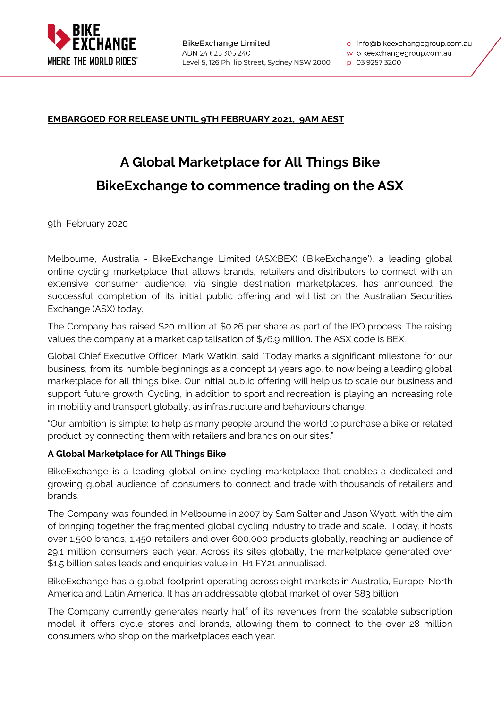

e info@bikeexchangegroup.com.au

w bikeexchangegroup.com.au

p 03 9257 3200

# **EMBARGOED FOR RELEASE UNTIL 9TH FEBRUARY 2021, 9AM AEST**

# **A Global Marketplace for All Things Bike BikeExchange to commence trading on the ASX**

9th February 2020

Melbourne, Australia - BikeExchange Limited (ASX:BEX) ('BikeExchange'), a leading global online cycling marketplace that allows brands, retailers and distributors to connect with an extensive consumer audience, via single destination marketplaces, has announced the successful completion of its initial public offering and will list on the Australian Securities Exchange (ASX) today.

The Company has raised \$20 million at \$0.26 per share as part of the IPO process. The raising values the company at a market capitalisation of \$76.9 million. The ASX code is BEX.

Global Chief Executive Officer, Mark Watkin, said "Today marks a significant milestone for our business, from its humble beginnings as a concept 14 years ago, to now being a leading global marketplace for all things bike. Our initial public offering will help us to scale our business and support future growth. Cycling, in addition to sport and recreation, is playing an increasing role in mobility and transport globally, as infrastructure and behaviours change.

"Our ambition is simple: to help as many people around the world to purchase a bike or related product by connecting them with retailers and brands on our sites."

## **A Global Marketplace for All Things Bike**

BikeExchange is a leading global online cycling marketplace that enables a dedicated and growing global audience of consumers to connect and trade with thousands of retailers and brands.

The Company was founded in Melbourne in 2007 by Sam Salter and Jason Wyatt, with the aim of bringing together the fragmented global cycling industry to trade and scale. Today, it hosts over 1,500 brands, 1,450 retailers and over 600,000 products globally, reaching an audience of 29.1 million consumers each year. Across its sites globally, the marketplace generated over \$1.5 billion sales leads and enquiries value in H1 FY21 annualised.

BikeExchange has a global footprint operating across eight markets in Australia, Europe, North America and Latin America. It has an addressable global market of over \$83 billion.

The Company currently generates nearly half of its revenues from the scalable subscription model it offers cycle stores and brands, allowing them to connect to the over 28 million consumers who shop on the marketplaces each year.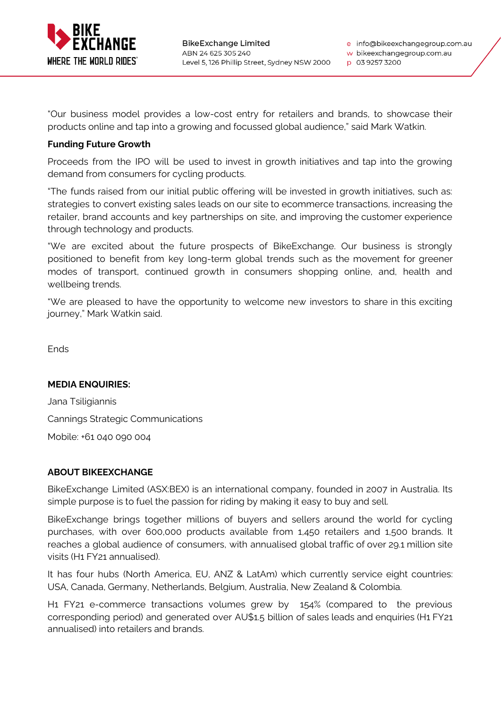

p 03 9257 3200

"Our business model provides a low-cost entry for retailers and brands, to showcase their products online and tap into a growing and focussed global audience," said Mark Watkin.

## **Funding Future Growth**

Proceeds from the IPO will be used to invest in growth initiatives and tap into the growing demand from consumers for cycling products.

"The funds raised from our initial public offering will be invested in growth initiatives, such as: strategies to convert existing sales leads on our site to ecommerce transactions, increasing the retailer, brand accounts and key partnerships on site, and improving the customer experience through technology and products.

"We are excited about the future prospects of BikeExchange. Our business is strongly positioned to benefit from key long-term global trends such as the movement for greener modes of transport, continued growth in consumers shopping online, and, health and wellbeing trends.

"We are pleased to have the opportunity to welcome new investors to share in this exciting journey," Mark Watkin said.

Ends

### **MEDIA ENQUIRIES:**

Jana Tsiligiannis Cannings Strategic Communications Mobile: +61 040 090 004

### **ABOUT BIKEEXCHANGE**

BikeExchange Limited (ASX:BEX) is an international company, founded in 2007 in Australia. Its simple purpose is to fuel the passion for riding by making it easy to buy and sell.

BikeExchange brings together millions of buyers and sellers around the world for cycling purchases, with over 600,000 products available from 1,450 retailers and 1,500 brands. It reaches a global audience of consumers, with annualised global traffic of over 29.1 million site visits (H1 FY21 annualised).

It has four hubs (North America, EU, ANZ & LatAm) which currently service eight countries: USA, Canada, Germany, Netherlands, Belgium, Australia, New Zealand & Colombia.

H1 FY21 e-commerce transactions volumes grew by 154% (compared to the previous corresponding period) and generated over AU\$1.5 billion of sales leads and enquiries (H1 FY21 annualised) into retailers and brands.

w bikeexchangegroup.com.au